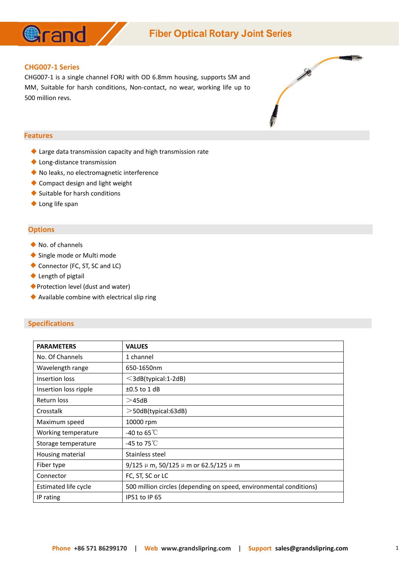

## **Fiber Optical Rotary Joint Series**

#### **CHG007-1 Series**

CHG007-1 is a single channel FORJ with OD 6.8mm housing, supports SM and MM, Suitable for harsh conditions, Non-contact, no wear, working life up to 500 million revs.



#### **Features**

- ◆ Large data transmission capacity and high transmission rate
- ◆ Long-distance transmission
- ◆ No leaks, no electromagnetic interference
- ◆ Compact design and light weight
- ◆ Suitable for harsh conditions
- ◆ Long life span

#### **Options**

- ◆ No. of channels
- ◆ Single mode or Multi mode
- ◆ Connector (FC, ST, SC and LC)
- ◆ Length of pigtail
- ◆Protection level (dust and water)
- ◆ Available combine with electrical slip ring

#### **Specifications**

| <b>PARAMETERS</b>     | <b>VALUES</b>                                                      |
|-----------------------|--------------------------------------------------------------------|
| No. Of Channels       | 1 channel                                                          |
| Wavelength range      | 650-1650nm                                                         |
| Insertion loss        | $\leq$ 3dB(typical:1-2dB)                                          |
| Insertion loss ripple | $\pm 0.5$ to 1 dB                                                  |
| Return loss           | >45dB                                                              |
| Crosstalk             | $>$ 50dB(typical:63dB)                                             |
| Maximum speed         | 10000 rpm                                                          |
| Working temperature   | -40 to 65 $^{\circ}$ C                                             |
| Storage temperature   | -45 to 75 $\mathrm{C}$                                             |
| Housing material      | Stainless steel                                                    |
| Fiber type            | 9/125 $\mu$ m, 50/125 $\mu$ m or 62.5/125 $\mu$ m                  |
| Connector             | FC, ST, SC or LC                                                   |
| Estimated life cycle  | 500 million circles (depending on speed, environmental conditions) |
| IP rating             | <b>IP51 to IP 65</b>                                               |